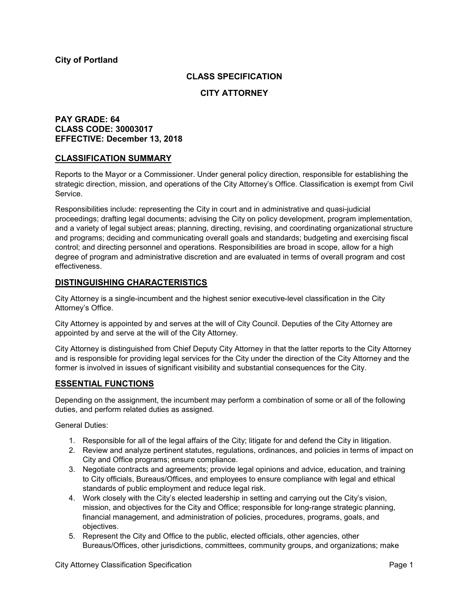# **CLASS SPECIFICATION**

## **CITY ATTORNEY**

# **PAY GRADE: 64 CLASS CODE: 30003017 EFFECTIVE: December 13, 2018**

## **CLASSIFICATION SUMMARY**

Reports to the Mayor or a Commissioner. Under general policy direction, responsible for establishing the strategic direction, mission, and operations of the City Attorney's Office. Classification is exempt from Civil Service.

Responsibilities include: representing the City in court and in administrative and quasi-judicial proceedings; drafting legal documents; advising the City on policy development, program implementation, and a variety of legal subject areas; planning, directing, revising, and coordinating organizational structure and programs; deciding and communicating overall goals and standards; budgeting and exercising fiscal control; and directing personnel and operations. Responsibilities are broad in scope, allow for a high degree of program and administrative discretion and are evaluated in terms of overall program and cost effectiveness.

## **DISTINGUISHING CHARACTERISTICS**

City Attorney is a single-incumbent and the highest senior executive-level classification in the City Attorney's Office.

City Attorney is appointed by and serves at the will of City Council. Deputies of the City Attorney are appointed by and serve at the will of the City Attorney.

City Attorney is distinguished from Chief Deputy City Attorney in that the latter reports to the City Attorney and is responsible for providing legal services for the City under the direction of the City Attorney and the former is involved in issues of significant visibility and substantial consequences for the City.

## **ESSENTIAL FUNCTIONS**

Depending on the assignment, the incumbent may perform a combination of some or all of the following duties, and perform related duties as assigned.

General Duties:

- 1. Responsible for all of the legal affairs of the City; litigate for and defend the City in litigation.
- 2. Review and analyze pertinent statutes, regulations, ordinances, and policies in terms of impact on City and Office programs; ensure compliance.
- 3. Negotiate contracts and agreements; provide legal opinions and advice, education, and training to City officials, Bureaus/Offices, and employees to ensure compliance with legal and ethical standards of public employment and reduce legal risk.
- 4. Work closely with the City's elected leadership in setting and carrying out the City's vision, mission, and objectives for the City and Office; responsible for long-range strategic planning, financial management, and administration of policies, procedures, programs, goals, and objectives.
- 5. Represent the City and Office to the public, elected officials, other agencies, other Bureaus/Offices, other jurisdictions, committees, community groups, and organizations; make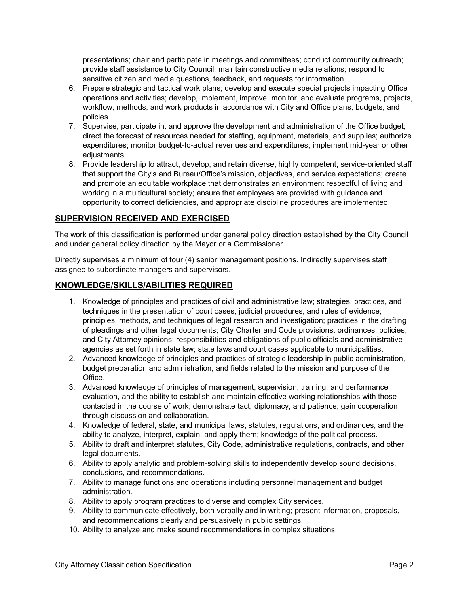presentations; chair and participate in meetings and committees; conduct community outreach; provide staff assistance to City Council; maintain constructive media relations; respond to sensitive citizen and media questions, feedback, and requests for information.

- 6. Prepare strategic and tactical work plans; develop and execute special projects impacting Office operations and activities; develop, implement, improve, monitor, and evaluate programs, projects, workflow, methods, and work products in accordance with City and Office plans, budgets, and policies.
- 7. Supervise, participate in, and approve the development and administration of the Office budget; direct the forecast of resources needed for staffing, equipment, materials, and supplies; authorize expenditures; monitor budget-to-actual revenues and expenditures; implement mid-year or other adjustments.
- 8. Provide leadership to attract, develop, and retain diverse, highly competent, service-oriented staff that support the City's and Bureau/Office's mission, objectives, and service expectations; create and promote an equitable workplace that demonstrates an environment respectful of living and working in a multicultural society; ensure that employees are provided with guidance and opportunity to correct deficiencies, and appropriate discipline procedures are implemented.

# **SUPERVISION RECEIVED AND EXERCISED**

The work of this classification is performed under general policy direction established by the City Council and under general policy direction by the Mayor or a Commissioner.

Directly supervises a minimum of four (4) senior management positions. Indirectly supervises staff assigned to subordinate managers and supervisors.

## **KNOWLEDGE/SKILLS/ABILITIES REQUIRED**

- 1. Knowledge of principles and practices of civil and administrative law; strategies, practices, and techniques in the presentation of court cases, judicial procedures, and rules of evidence; principles, methods, and techniques of legal research and investigation; practices in the drafting of pleadings and other legal documents; City Charter and Code provisions, ordinances, policies, and City Attorney opinions; responsibilities and obligations of public officials and administrative agencies as set forth in state law; state laws and court cases applicable to municipalities.
- 2. Advanced knowledge of principles and practices of strategic leadership in public administration, budget preparation and administration, and fields related to the mission and purpose of the **Office**
- 3. Advanced knowledge of principles of management, supervision, training, and performance evaluation, and the ability to establish and maintain effective working relationships with those contacted in the course of work; demonstrate tact, diplomacy, and patience; gain cooperation through discussion and collaboration.
- 4. Knowledge of federal, state, and municipal laws, statutes, regulations, and ordinances, and the ability to analyze, interpret, explain, and apply them; knowledge of the political process.
- 5. Ability to draft and interpret statutes, City Code, administrative regulations, contracts, and other legal documents.
- 6. Ability to apply analytic and problem-solving skills to independently develop sound decisions, conclusions, and recommendations.
- 7. Ability to manage functions and operations including personnel management and budget administration.
- 8. Ability to apply program practices to diverse and complex City services.
- 9. Ability to communicate effectively, both verbally and in writing; present information, proposals, and recommendations clearly and persuasively in public settings.
- 10. Ability to analyze and make sound recommendations in complex situations.